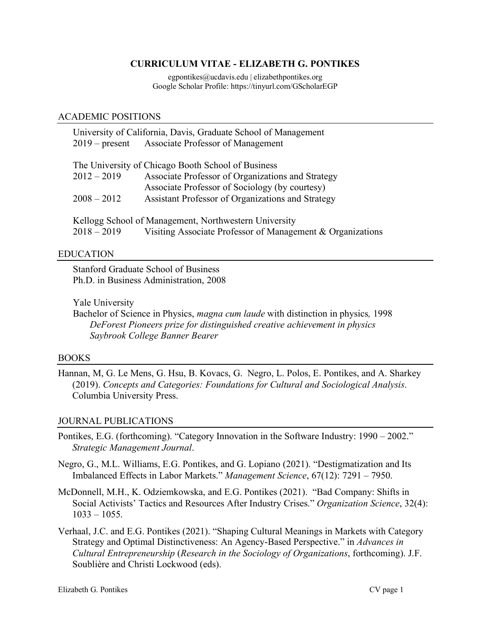## **CURRICULUM VITAE - ELIZABETH G. PONTIKES**

egpontikes@ucdavis.edu | elizabethpontikes.org Google Scholar Profile: https://tinyurl.com/GScholarEGP

#### ACADEMIC POSITIONS

| University of California, Davis, Graduate School of Management |                                                            |
|----------------------------------------------------------------|------------------------------------------------------------|
|                                                                | 2019 – present Associate Professor of Management           |
|                                                                |                                                            |
|                                                                | The University of Chicago Booth School of Business         |
| $2012 - 2019$                                                  | Associate Professor of Organizations and Strategy          |
|                                                                | Associate Professor of Sociology (by courtesy)             |
| $2008 - 2012$                                                  | Assistant Professor of Organizations and Strategy          |
|                                                                |                                                            |
| Kellogg School of Management, Northwestern University          |                                                            |
| $2018 - 2019$                                                  | Visiting Associate Professor of Management & Organizations |

#### EDUCATION

Stanford Graduate School of Business Ph.D. in Business Administration, 2008

#### Yale University

Bachelor of Science in Physics, *magna cum laude* with distinction in physics*,* 1998 *DeForest Pioneers prize for distinguished creative achievement in physics Saybrook College Banner Bearer*

### BOOKS

Hannan, M, G. Le Mens, G. Hsu, B. Kovacs, G. Negro, L. Polos, E. Pontikes, and A. Sharkey (2019). *Concepts and Categories: Foundations for Cultural and Sociological Analysis*. Columbia University Press.

### JOURNAL PUBLICATIONS

- Pontikes, E.G. (forthcoming). "Category Innovation in the Software Industry: 1990 2002." *Strategic Management Journal*.
- Negro, G., M.L. Williams, E.G. Pontikes, and G. Lopiano (2021). "Destigmatization and Its Imbalanced Effects in Labor Markets." *Management Science*, 67(12): 7291 – 7950.
- McDonnell, M.H., K. Odziemkowska, and E.G. Pontikes (2021). "Bad Company: Shifts in Social Activists' Tactics and Resources After Industry Crises." *Organization Science*, 32(4): 1033 – 1055.
- Verhaal, J.C. and E.G. Pontikes (2021). "Shaping Cultural Meanings in Markets with Category Strategy and Optimal Distinctiveness: An Agency-Based Perspective." in *Advances in Cultural Entrepreneurship* (*Research in the Sociology of Organizations*, forthcoming). J.F. Soublière and Christi Lockwood (eds).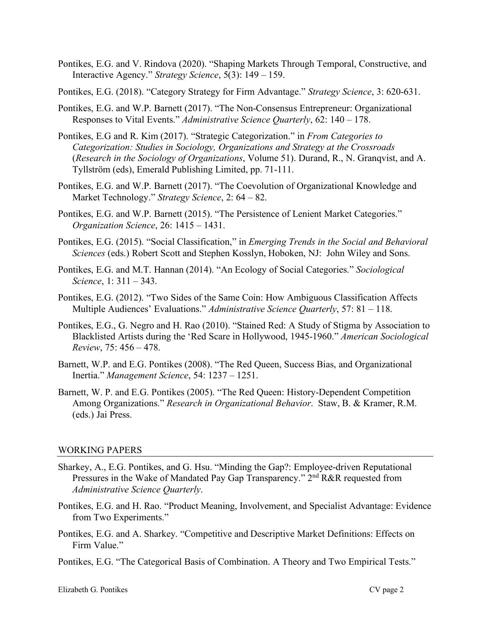- Pontikes, E.G. and V. Rindova (2020). "Shaping Markets Through Temporal, Constructive, and Interactive Agency." *Strategy Science*, 5(3): 149 – 159.
- Pontikes, E.G. (2018). "Category Strategy for Firm Advantage." *Strategy Science*, 3: 620-631.
- Pontikes, E.G. and W.P. Barnett (2017). "The Non-Consensus Entrepreneur: Organizational Responses to Vital Events." *Administrative Science Quarterly*, 62: 140 – 178.
- Pontikes, E.G and R. Kim (2017). "Strategic Categorization." in *From Categories to Categorization: Studies in Sociology, Organizations and Strategy at the Crossroads* (*Research in the Sociology of Organizations*, Volume 51). Durand, R., N. Granqvist, and A. Tyllström (eds), Emerald Publishing Limited, pp. 71-111.
- Pontikes, E.G. and W.P. Barnett (2017). "The Coevolution of Organizational Knowledge and Market Technology." *Strategy Science*, 2: 64 – 82.
- Pontikes, E.G. and W.P. Barnett (2015). "The Persistence of Lenient Market Categories." *Organization Science*, 26: 1415 – 1431.
- Pontikes, E.G. (2015). "Social Classification," in *Emerging Trends in the Social and Behavioral Sciences* (eds.) Robert Scott and Stephen Kosslyn, Hoboken, NJ: John Wiley and Sons.
- Pontikes, E.G. and M.T. Hannan (2014). "An Ecology of Social Categories." *Sociological Science*, 1: 311 – 343.
- Pontikes, E.G. (2012). "Two Sides of the Same Coin: How Ambiguous Classification Affects Multiple Audiences' Evaluations." *Administrative Science Quarterly*, 57: 81 – 118.
- Pontikes, E.G., G. Negro and H. Rao (2010). "Stained Red: A Study of Stigma by Association to Blacklisted Artists during the 'Red Scare in Hollywood, 1945-1960." *American Sociological Review*, 75: 456 – 478.
- Barnett, W.P. and E.G. Pontikes (2008). "The Red Queen, Success Bias, and Organizational Inertia." *Management Science*, 54: 1237 – 1251.
- Barnett, W. P. and E.G. Pontikes (2005). "The Red Queen: History-Dependent Competition Among Organizations." *Research in Organizational Behavior*. Staw, B. & Kramer, R.M. (eds.) Jai Press.

### WORKING PAPERS

- Sharkey, A., E.G. Pontikes, and G. Hsu. "Minding the Gap?: Employee-driven Reputational Pressures in the Wake of Mandated Pay Gap Transparency." 2<sup>nd</sup> R&R requested from *Administrative Science Quarterly*.
- Pontikes, E.G. and H. Rao. "Product Meaning, Involvement, and Specialist Advantage: Evidence from Two Experiments."
- Pontikes, E.G. and A. Sharkey. "Competitive and Descriptive Market Definitions: Effects on Firm Value."
- Pontikes, E.G. "The Categorical Basis of Combination. A Theory and Two Empirical Tests."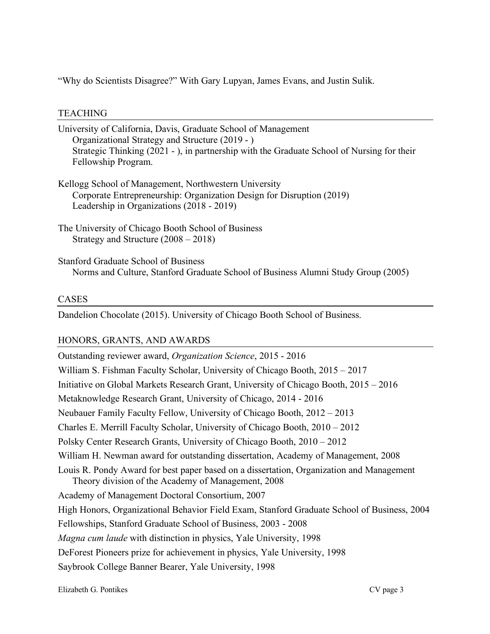"Why do Scientists Disagree?" With Gary Lupyan, James Evans, and Justin Sulik.

## TEACHING

| University of California, Davis, Graduate School of Management<br>Organizational Strategy and Structure (2019 - )<br>Strategic Thinking (2021 - ), in partnership with the Graduate School of Nursing for their<br>Fellowship Program. |
|----------------------------------------------------------------------------------------------------------------------------------------------------------------------------------------------------------------------------------------|
| Kellogg School of Management, Northwestern University<br>Corporate Entrepreneurship: Organization Design for Disruption (2019)<br>Leadership in Organizations (2018 - 2019)                                                            |
| The University of Chicago Booth School of Business<br>Strategy and Structure $(2008 – 2018)$                                                                                                                                           |
| <b>Stanford Graduate School of Business</b><br>Norms and Culture, Stanford Graduate School of Business Alumni Study Group (2005)                                                                                                       |

# CASES

Dandelion Chocolate (2015). University of Chicago Booth School of Business.

# HONORS, GRANTS, AND AWARDS

Outstanding reviewer award, *Organization Science*, 2015 - 2016 William S. Fishman Faculty Scholar, University of Chicago Booth, 2015 – 2017 Initiative on Global Markets Research Grant, University of Chicago Booth, 2015 – 2016 Metaknowledge Research Grant, University of Chicago, 2014 - 2016 Neubauer Family Faculty Fellow, University of Chicago Booth, 2012 – 2013 Charles E. Merrill Faculty Scholar, University of Chicago Booth, 2010 – 2012 Polsky Center Research Grants, University of Chicago Booth, 2010 – 2012 William H. Newman award for outstanding dissertation, Academy of Management, 2008 Louis R. Pondy Award for best paper based on a dissertation, Organization and Management Theory division of the Academy of Management, 2008 Academy of Management Doctoral Consortium, 2007 High Honors, Organizational Behavior Field Exam, Stanford Graduate School of Business, 2004 Fellowships, Stanford Graduate School of Business, 2003 - 2008 *Magna cum laude* with distinction in physics, Yale University, 1998 DeForest Pioneers prize for achievement in physics, Yale University, 1998 Saybrook College Banner Bearer, Yale University, 1998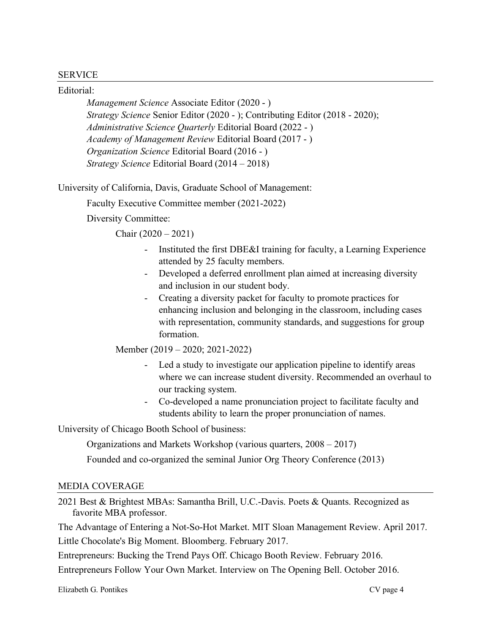### SERVICE

Editorial:

*Management Science* Associate Editor (2020 - ) *Strategy Science* Senior Editor (2020 - ); Contributing Editor (2018 - 2020); *Administrative Science Quarterly* Editorial Board (2022 - ) *Academy of Management Review* Editorial Board (2017 - ) *Organization Science* Editorial Board (2016 - ) *Strategy Science* Editorial Board (2014 – 2018)

University of California, Davis, Graduate School of Management:

Faculty Executive Committee member (2021-2022)

Diversity Committee:

Chair  $(2020 - 2021)$ 

- Instituted the first DBE&I training for faculty, a Learning Experience attended by 25 faculty members.
- Developed a deferred enrollment plan aimed at increasing diversity and inclusion in our student body.
- Creating a diversity packet for faculty to promote practices for enhancing inclusion and belonging in the classroom, including cases with representation, community standards, and suggestions for group formation.

Member (2019 – 2020; 2021-2022)

- Led a study to investigate our application pipeline to identify areas where we can increase student diversity. Recommended an overhaul to our tracking system.
- Co-developed a name pronunciation project to facilitate faculty and students ability to learn the proper pronunciation of names.

University of Chicago Booth School of business:

Organizations and Markets Workshop (various quarters, 2008 – 2017)

Founded and co-organized the seminal Junior Org Theory Conference (2013)

### MEDIA COVERAGE

2021 Best & Brightest MBAs: Samantha Brill, U.C.-Davis. Poets & Quants. Recognized as favorite MBA professor.

The Advantage of Entering a Not-So-Hot Market. MIT Sloan Management Review. April 2017. Little Chocolate's Big Moment. Bloomberg. February 2017.

Entrepreneurs: Bucking the Trend Pays Off. Chicago Booth Review. February 2016.

Entrepreneurs Follow Your Own Market. Interview on The Opening Bell. October 2016.

Elizabeth G. Pontikes CV page 4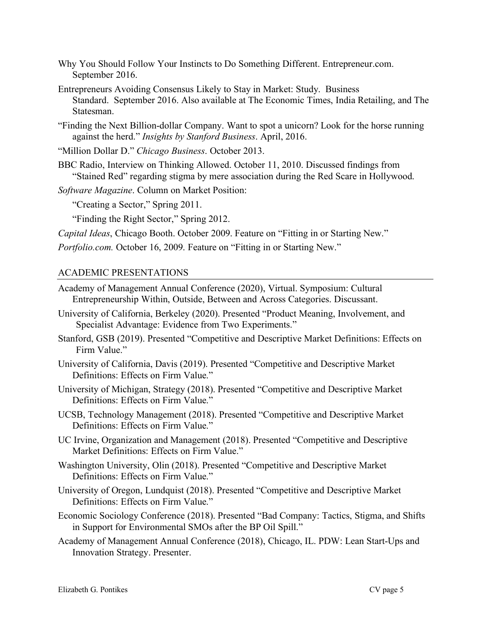- Why You Should Follow Your Instincts to Do Something Different. Entrepreneur.com. September 2016.
- Entrepreneurs Avoiding Consensus Likely to Stay in Market: Study. Business Standard. September 2016. Also available at The Economic Times, India Retailing, and The Statesman.
- "Finding the Next Billion-dollar Company. Want to spot a unicorn? Look for the horse running against the herd." *Insights by Stanford Business*. April, 2016.

"Million Dollar D." *Chicago Business*. October 2013.

- BBC Radio, Interview on Thinking Allowed. October 11, 2010. Discussed findings from "Stained Red" regarding stigma by mere association during the Red Scare in Hollywood.
- *Software Magazine*. Column on Market Position:

"Creating a Sector," Spring 2011.

"Finding the Right Sector," Spring 2012.

*Capital Ideas*, Chicago Booth. October 2009. Feature on "Fitting in or Starting New."

*Portfolio.com.* October 16, 2009. Feature on "Fitting in or Starting New."

## ACADEMIC PRESENTATIONS

- Academy of Management Annual Conference (2020), Virtual. Symposium: Cultural Entrepreneurship Within, Outside, Between and Across Categories. Discussant.
- University of California, Berkeley (2020). Presented "Product Meaning, Involvement, and Specialist Advantage: Evidence from Two Experiments."
- Stanford, GSB (2019). Presented "Competitive and Descriptive Market Definitions: Effects on Firm Value."
- University of California, Davis (2019). Presented "Competitive and Descriptive Market Definitions: Effects on Firm Value."
- University of Michigan, Strategy (2018). Presented "Competitive and Descriptive Market Definitions: Effects on Firm Value."
- UCSB, Technology Management (2018). Presented "Competitive and Descriptive Market Definitions: Effects on Firm Value."
- UC Irvine, Organization and Management (2018). Presented "Competitive and Descriptive Market Definitions: Effects on Firm Value."
- Washington University, Olin (2018). Presented "Competitive and Descriptive Market Definitions: Effects on Firm Value."
- University of Oregon, Lundquist (2018). Presented "Competitive and Descriptive Market Definitions: Effects on Firm Value."
- Economic Sociology Conference (2018). Presented "Bad Company: Tactics, Stigma, and Shifts in Support for Environmental SMOs after the BP Oil Spill."
- Academy of Management Annual Conference (2018), Chicago, IL. PDW: Lean Start-Ups and Innovation Strategy. Presenter.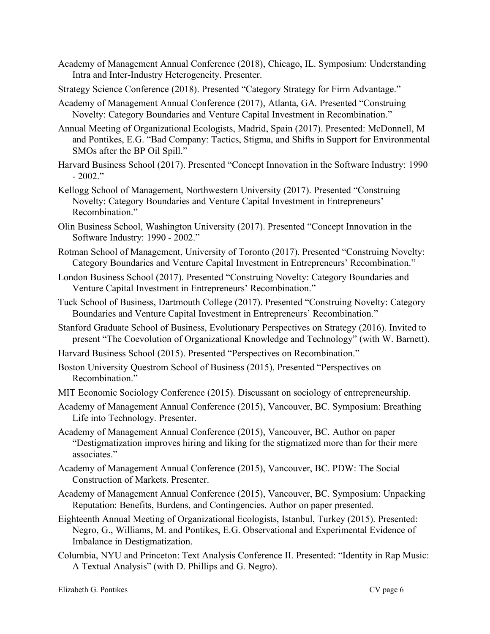- Academy of Management Annual Conference (2018), Chicago, IL. Symposium: Understanding Intra and Inter-Industry Heterogeneity. Presenter.
- Strategy Science Conference (2018). Presented "Category Strategy for Firm Advantage."
- Academy of Management Annual Conference (2017), Atlanta, GA. Presented "Construing Novelty: Category Boundaries and Venture Capital Investment in Recombination."
- Annual Meeting of Organizational Ecologists, Madrid, Spain (2017). Presented: McDonnell, M and Pontikes, E.G. "Bad Company: Tactics, Stigma, and Shifts in Support for Environmental SMOs after the BP Oil Spill."
- Harvard Business School (2017). Presented "Concept Innovation in the Software Industry: 1990 - 2002."
- Kellogg School of Management, Northwestern University (2017). Presented "Construing Novelty: Category Boundaries and Venture Capital Investment in Entrepreneurs' Recombination."
- Olin Business School, Washington University (2017). Presented "Concept Innovation in the Software Industry: 1990 - 2002."
- Rotman School of Management, University of Toronto (2017). Presented "Construing Novelty: Category Boundaries and Venture Capital Investment in Entrepreneurs' Recombination."
- London Business School (2017). Presented "Construing Novelty: Category Boundaries and Venture Capital Investment in Entrepreneurs' Recombination."
- Tuck School of Business, Dartmouth College (2017). Presented "Construing Novelty: Category Boundaries and Venture Capital Investment in Entrepreneurs' Recombination."
- Stanford Graduate School of Business, Evolutionary Perspectives on Strategy (2016). Invited to present "The Coevolution of Organizational Knowledge and Technology" (with W. Barnett).
- Harvard Business School (2015). Presented "Perspectives on Recombination."
- Boston University Questrom School of Business (2015). Presented "Perspectives on Recombination."
- MIT Economic Sociology Conference (2015). Discussant on sociology of entrepreneurship.
- Academy of Management Annual Conference (2015), Vancouver, BC. Symposium: Breathing Life into Technology. Presenter.
- Academy of Management Annual Conference (2015), Vancouver, BC. Author on paper "Destigmatization improves hiring and liking for the stigmatized more than for their mere associates."
- Academy of Management Annual Conference (2015), Vancouver, BC. PDW: The Social Construction of Markets. Presenter.
- Academy of Management Annual Conference (2015), Vancouver, BC. Symposium: Unpacking Reputation: Benefits, Burdens, and Contingencies. Author on paper presented.
- Eighteenth Annual Meeting of Organizational Ecologists, Istanbul, Turkey (2015). Presented: Negro, G., Williams, M. and Pontikes, E.G. Observational and Experimental Evidence of Imbalance in Destigmatization.
- Columbia, NYU and Princeton: Text Analysis Conference II. Presented: "Identity in Rap Music: A Textual Analysis" (with D. Phillips and G. Negro).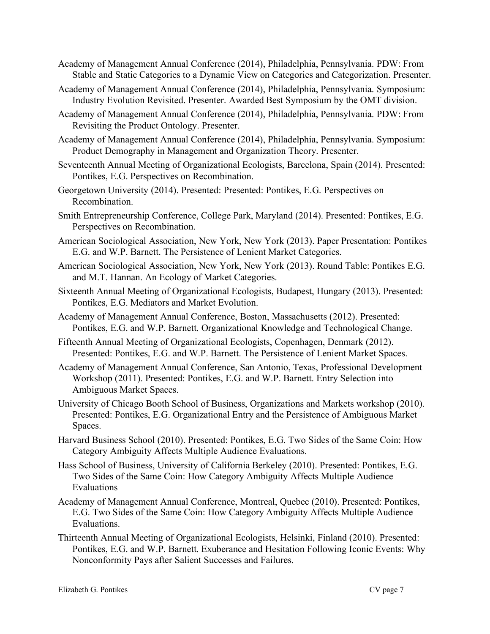- Academy of Management Annual Conference (2014), Philadelphia, Pennsylvania. PDW: From Stable and Static Categories to a Dynamic View on Categories and Categorization. Presenter.
- Academy of Management Annual Conference (2014), Philadelphia, Pennsylvania. Symposium: Industry Evolution Revisited. Presenter. Awarded Best Symposium by the OMT division.
- Academy of Management Annual Conference (2014), Philadelphia, Pennsylvania. PDW: From Revisiting the Product Ontology. Presenter.
- Academy of Management Annual Conference (2014), Philadelphia, Pennsylvania. Symposium: Product Demography in Management and Organization Theory. Presenter.
- Seventeenth Annual Meeting of Organizational Ecologists, Barcelona, Spain (2014). Presented: Pontikes, E.G. Perspectives on Recombination.
- Georgetown University (2014). Presented: Presented: Pontikes, E.G. Perspectives on Recombination.
- Smith Entrepreneurship Conference, College Park, Maryland (2014). Presented: Pontikes, E.G. Perspectives on Recombination.
- American Sociological Association, New York, New York (2013). Paper Presentation: Pontikes E.G. and W.P. Barnett. The Persistence of Lenient Market Categories.
- American Sociological Association, New York, New York (2013). Round Table: Pontikes E.G. and M.T. Hannan. An Ecology of Market Categories.
- Sixteenth Annual Meeting of Organizational Ecologists, Budapest, Hungary (2013). Presented: Pontikes, E.G. Mediators and Market Evolution.
- Academy of Management Annual Conference, Boston, Massachusetts (2012). Presented: Pontikes, E.G. and W.P. Barnett. Organizational Knowledge and Technological Change.
- Fifteenth Annual Meeting of Organizational Ecologists, Copenhagen, Denmark (2012). Presented: Pontikes, E.G. and W.P. Barnett. The Persistence of Lenient Market Spaces.
- Academy of Management Annual Conference, San Antonio, Texas, Professional Development Workshop (2011). Presented: Pontikes, E.G. and W.P. Barnett. Entry Selection into Ambiguous Market Spaces.
- University of Chicago Booth School of Business, Organizations and Markets workshop (2010). Presented: Pontikes, E.G. Organizational Entry and the Persistence of Ambiguous Market Spaces.
- Harvard Business School (2010). Presented: Pontikes, E.G. Two Sides of the Same Coin: How Category Ambiguity Affects Multiple Audience Evaluations.
- Hass School of Business, University of California Berkeley (2010). Presented: Pontikes, E.G. Two Sides of the Same Coin: How Category Ambiguity Affects Multiple Audience Evaluations
- Academy of Management Annual Conference, Montreal, Quebec (2010). Presented: Pontikes, E.G. Two Sides of the Same Coin: How Category Ambiguity Affects Multiple Audience Evaluations.
- Thirteenth Annual Meeting of Organizational Ecologists, Helsinki, Finland (2010). Presented: Pontikes, E.G. and W.P. Barnett. Exuberance and Hesitation Following Iconic Events: Why Nonconformity Pays after Salient Successes and Failures.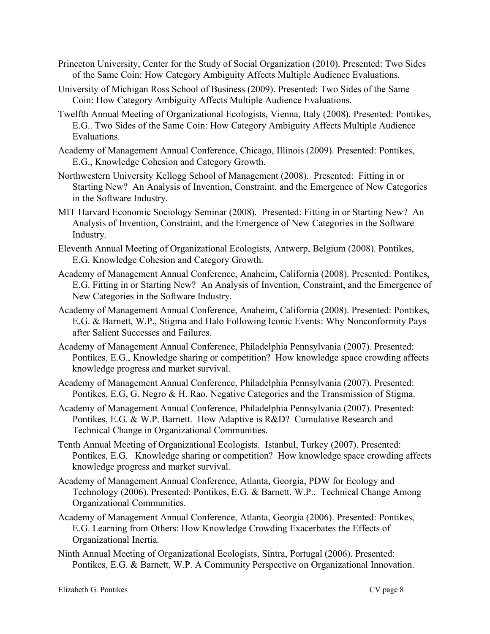- Princeton University, Center for the Study of Social Organization (2010). Presented: Two Sides of the Same Coin: How Category Ambiguity Affects Multiple Audience Evaluations.
- University of Michigan Ross School of Business (2009). Presented: Two Sides of the Same Coin: How Category Ambiguity Affects Multiple Audience Evaluations.
- Twelfth Annual Meeting of Organizational Ecologists, Vienna, Italy (2008). Presented: Pontikes, E.G.. Two Sides of the Same Coin: How Category Ambiguity Affects Multiple Audience Evaluations.
- Academy of Management Annual Conference, Chicago, Illinois (2009). Presented: Pontikes, E.G., Knowledge Cohesion and Category Growth.
- Northwestern University Kellogg School of Management (2008). Presented: Fitting in or Starting New? An Analysis of Invention, Constraint, and the Emergence of New Categories in the Software Industry.
- MIT Harvard Economic Sociology Seminar (2008). Presented: Fitting in or Starting New? An Analysis of Invention, Constraint, and the Emergence of New Categories in the Software Industry.
- Eleventh Annual Meeting of Organizational Ecologists, Antwerp, Belgium (2008). Pontikes, E.G. Knowledge Cohesion and Category Growth.
- Academy of Management Annual Conference, Anaheim, California (2008). Presented: Pontikes, E.G. Fitting in or Starting New? An Analysis of Invention, Constraint, and the Emergence of New Categories in the Software Industry.
- Academy of Management Annual Conference, Anaheim, California (2008). Presented: Pontikes, E.G. & Barnett, W.P., Stigma and Halo Following Iconic Events: Why Nonconformity Pays after Salient Successes and Failures.
- Academy of Management Annual Conference, Philadelphia Pennsylvania (2007). Presented: Pontikes, E.G., Knowledge sharing or competition? How knowledge space crowding affects knowledge progress and market survival.
- Academy of Management Annual Conference, Philadelphia Pennsylvania (2007). Presented: Pontikes, E.G, G. Negro & H. Rao. Negative Categories and the Transmission of Stigma.
- Academy of Management Annual Conference, Philadelphia Pennsylvania (2007). Presented: Pontikes, E.G. & W.P. Barnett. How Adaptive is R&D? Cumulative Research and Technical Change in Organizational Communities.
- Tenth Annual Meeting of Organizational Ecologists. Istanbul, Turkey (2007). Presented: Pontikes, E.G. Knowledge sharing or competition? How knowledge space crowding affects knowledge progress and market survival.
- Academy of Management Annual Conference, Atlanta, Georgia, PDW for Ecology and Technology (2006). Presented: Pontikes, E.G. & Barnett, W.P.. Technical Change Among Organizational Communities.
- Academy of Management Annual Conference, Atlanta, Georgia (2006). Presented: Pontikes, E.G. Learning from Others: How Knowledge Crowding Exacerbates the Effects of Organizational Inertia.
- Ninth Annual Meeting of Organizational Ecologists, Sintra, Portugal (2006). Presented: Pontikes, E.G. & Barnett, W.P. A Community Perspective on Organizational Innovation.